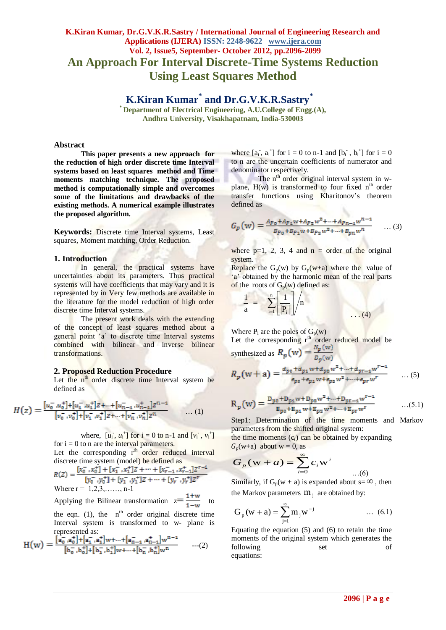# **K.Kiran Kumar, Dr.G.V.K.R.Sastry / International Journal of Engineering Research and Applications (IJERA) ISSN: 2248-9622 www.ijera.com Vol. 2, Issue5, September- October 2012, pp.2096-2099 An Approach For Interval Discrete-Time Systems Reduction Using Least Squares Method**

**K.Kiran Kumar\* and Dr.G.V.K.R.Sastry\***

**\* Department of Electrical Engineering, A.U.College of Engg.(A), Andhra University, Visakhapatnam, India-530003**

#### **Abstract**

**This paper presents a new approach for the reduction of high order discrete time Interval systems based on least squares method and Time moments matching technique. The proposed method is computationally simple and overcomes some of the limitations and drawbacks of the existing methods. A numerical example illustrates the proposed algorithm.**

**Keywords:** Discrete time Interval systems, Least squares, Moment matching, Order Reduction.

#### **1. Introduction**

In general, the practical systems have uncertainties about its parameters. Thus practical systems will have coefficients that may vary and it is represented by in Very few methods are available in the literature for the model reduction of high order discrete time Interval systems.

The present work deals with the extending of the concept of least squares method about a general point 'a' to discrete time Interval systems combined with bilinear and inverse bilinear transformations.

#### **2. Proposed Reduction Procedure**

Let the  $n<sup>th</sup>$  order discrete time Interval system be defined as

$$
H(z) = \frac{[u_0^- u_0^+] + [u_1^- u_1^+] z + \dots + [u_{n-1}^- u_{n-1}^+] z^{n-1}}{[v_0^- v_0^+] + [v_1^- v_1^+] z + \dots + [v_n^- v_n^+] z^n} \qquad \dots (1)
$$

where,  $[u_i, u_i^+]$  for  $i = 0$  to n-1 and  $[v_i, v_i^+]$ for  $i = 0$  to n are the interval parameters.

Let the corresponding  $r<sup>th</sup>$  order reduced interval discrete time system (model) be defined as

$$
R(Z) = \frac{[x_0^-, x_0^+] + [x_1^-, x_1^+]Z + \dots + [x_{r-1}^-, x_{r-1}^+]Z^{r-1}}{[y_0^-, y_0^+] + [y_1^-, y_1^+]Z + \dots + [y_r^-, y_r^+]Z^r}
$$
  
Where  $r = 1, 2, 3, \dots, n-1$ 

Applying the Bilinear transformation  $z = \frac{1+w}{1-w}$  to the eqn. (1), the  $n<sup>th</sup>$  order original discrete time Interval system is transformed to w- plane is represented as:

$$
H(w) = \frac{[a_0^-, a_0^+] + [a_1^-, a_1^+]w + \dots + [a_{n-1}^-, a_{n-1}^+]w^{n-1}}{[b_0^-, b_0^+] + [b_1^-, b_1^+]w + \dots + [b_n^-, b_n^+]w^n} \qquad \dots (2)
$$

where  $[a_i, a_i]$  for  $i = 0$  to n-1 and  $[b_i, b_i]$  for  $i = 0$ to n are the uncertain coefficients of numerator and denominator respectively.

The n<sup>th</sup> order original interval system in wplane,  $H(w)$  is transformed to four fixed  $n<sup>th</sup>$  order transfer functions using Kharitonov"s theorem defined as

$$
G_p(w) = \frac{A_{p_0} + A_{p_1}w + A_{p_2}w^2 + \dots + A_{p_{n-1}}w^{n-1}}{B_{p_0} + B_{p_1}w + B_{p_2}w^2 + \dots + B_{pn}w^n} \qquad \dots (3)
$$

where  $p=1$ , 2, 3, 4 and  $n =$  order of the original system.

Replace the  $G_p(w)$  by  $G_p(w+a)$  where the value of 'a' obtained by the harmonic mean of the real parts of the roots of  $G_p(w)$  defined as:

$$
\frac{1}{a} = \sum_{i=1}^{n} \frac{1}{|P_i|} / n
$$
 (4)

Where  $P_i$  are the poles of  $G_p(w)$ 

**SAND** 

Let the corresponding  $r<sup>th</sup>$  order reduced model be synthesized as  $R_p(w) = \frac{N_p(w)}{D_p(w)}$ 

$$
R_p(w+a) = \frac{a_{p_0} + a_{p_1}w + a_{p_2}w^2 + \dots + a_{pr-1}w^{r-1}}{e_{p_0} + e_{p_1}w + e_{p_2}w^2 + \dots + e_{pr}w^r} \qquad \dots (5)
$$

$$
R_p(w) = \frac{D_{p0} + D_{p1}w + D_{p2}w^2 + \dots + D_{pr-1}w^{r-1}}{E_{p0} + E_{p1}w + E_{p2}w^2 + \dots + E_{pr}w^r} \qquad \dots (5.1)
$$

Step1: Determination of the time moments and Markov parameters from the shifted original system:

the time moments  $(c_i)$  can be obtained by expanding  $G_p(w+a)$  about  $w = 0$ , as

$$
G_p(\mathbf{w} + a) = \sum_{i=0}^{\infty} c_i \mathbf{w}^i
$$

Similarly, if  $G_p(w + a)$  is expanded about  $s = \infty$ , then the Markov parameters  $m_j$  are obtained by:

$$
G_p(w + a) = \sum_{j=1}^{\infty} m_j w^{-j} \qquad \qquad \dots \tag{6.1}
$$

Equating the equation (5) and (6) to retain the time moments of the original system which generates the following set of equations:

…(6)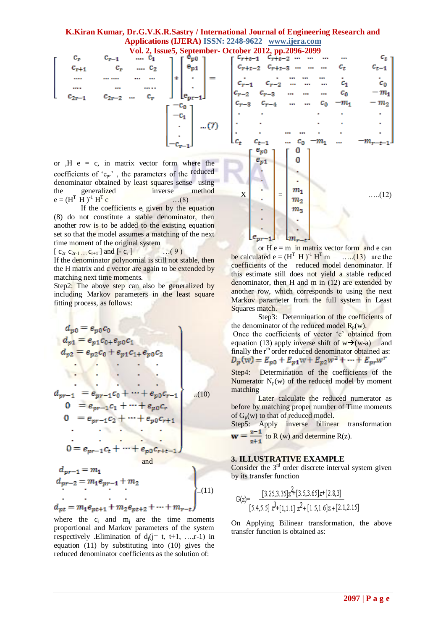## **K.Kiran Kumar, Dr.G.V.K.R.Sastry / International Journal of Engineering Research and Applications (IJERA) ISSN: 2248-9622 www.ijera.com**

| $c_{\rm r}$ | $c_{r-1}$  | $\ldots c_1$   | ╭                | $e_{\rm p0}$       |       |  |
|-------------|------------|----------------|------------------|--------------------|-------|--|
| $c_{r+1}$   | $c_r$      | $\cdots$ $C_2$ |                  |                    |       |  |
|             |            | <br>           | ∗                |                    |       |  |
|             |            |                |                  |                    |       |  |
| $c_{2r-1}$  | $c_{2r-2}$ | c,<br>$\cdots$ |                  | $(e_{pr}$<br>$-11$ |       |  |
|             |            |                | $\mathbf{c_{0}}$ |                    |       |  |
|             |            |                |                  |                    |       |  |
|             |            |                |                  |                    | $(7)$ |  |
|             |            |                |                  |                    |       |  |
|             |            |                |                  |                    |       |  |
|             |            |                |                  |                    |       |  |

or  $,H e = c$ , in matrix vector form where the coefficients of "epr" , the parameters of the reduced denominator obtained by least squares sense using the generalized inverse method  $e = (H^T \ H)^{-1} H^T$  $\dots(8)$ 

If the coefficients  $e_i$  given by the equation (8) do not constitute a stable denominator, then another row is to be added to the existing equation set so that the model assumes a matching of the next time moment of the original system

[ c2r c2r-1 …. cr+1 ] and [- c<sup>r</sup> ] …( 9 )

If the denominator polynomial is still not stable, then the H matrix and c vector are again to be extended by matching next time moments.

Step2: The above step can also be generalized by including Markov parameters in the least square fitting process, as follows:

 ..(10) and ..(11) 

where the  $c_i$  and  $m_i$  are the time moments proportional and Markov parameters of the system respectively .Elimination of  $d_i$  (j= t, t+1, …,r-1) in equation (11) by substituting into (10) gives the reduced denominator coefficients as the solution of:



or  $H e = m$  in matrix vector form and e can be calculated  $e = (H^T H)^{-1} H^T m$  $\dots$  (13) are the coefficients of the reduced model denominator. If this estimate still does not yield a stable reduced denominator, then H and  $\overline{m}$  in (12) are extended by another row, which corresponds to using the next Markov parameter from the full system in Least Squares match.

Step3: Determination of the coefficients of the denominator of the reduced model  $R_p(w)$ . Once the coefficients of vector "e" obtained from equation (13) apply inverse shift of  $w\rightarrow(w-a)$  and finally the r<sup>th</sup> order reduced denominator obtained as:<br> $D_p(w) = E_{p0} + E_{p1}w + E_{p2}w^2 + \cdots + E_{pr}w^r$ 

Step4: Determination of the coefficients of the Numerator  $N_p(w)$  of the reduced model by moment matching

Later calculate the reduced numerator as before by matching proper number of Time moments of  $G_p(w)$  to that of reduced model.

Step5: Apply inverse bilinear transformation  $\mathbf{w} = \frac{z-1}{z+1}$  to R (w) and determine R(z).

#### **3. ILLUSTRATIVE EXAMPLE**

Consider the  $3<sup>rd</sup>$  order discrete interval system given by its transfer function

$$
G(z) = \frac{[3.25, 3.35]z^2 + [3.5, 3.65]z + [2.8, 3]}{[5.4, 5.5]z^2 + [1, 1.1]z^2 + [1.5, 1.6]z + [2.1, 2.15]}
$$

On Applying Bilinear transformation, the above transfer function is obtained as: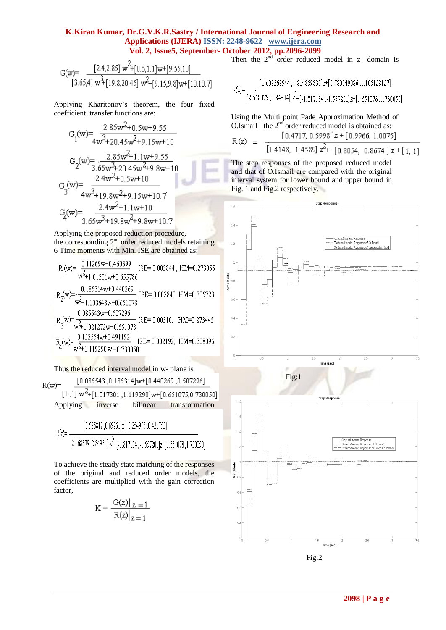## **K.Kiran Kumar, Dr.G.V.K.R.Sastry / International Journal of Engineering Research and Applications (IJERA) ISSN: 2248-9622 www.ijera.com Vol. 2, Issue5, September- October 2012, pp.2096-2099**

$$
G(w)=\frac{[2.4,2.85] \ w^2+[0.5,1.1] w+[9.55,10]}{[3.65,4] \ w^3+[19.8,20.45] \ w^2+[9.15,9.8] w+[10,10.7]}
$$

Applying Kharitonov"s theorem, the four fixed coefficient transfer functions are:

$$
G_{1}(w) = \frac{2.85w^{2}+0.5w+9.55}{4w^{3}+20.45w^{2}+9.15w+10}
$$
  
\n
$$
G_{2}(w) = \frac{2.85w^{2}+1.1w+9.55}{3.65w^{3}+20.45w^{2}+9.8w+10}
$$
  
\n
$$
G_{3}(w) = \frac{2.4w^{2}+0.5w+10}{4w^{3}+19.8w^{2}+9.15w+10.7}
$$
  
\n
$$
G_{4}(w) = \frac{2.4w^{2}+1.1w+10}{3.65w^{3}+19.8w^{2}+9.8w+10.7}
$$

Applying the proposed reduction procedure, the corresponding 2<sup>nd</sup> order reduced models retaining 6 Time moments with Min. ISE are obtained as:

$$
R_{1}(w) = \frac{0.11269w + 0.460399}{w^{2} + 1.01301w + 0.655786}
$$
\n
$$
R_{2}(w) = \frac{0.185314w + 0.440269}{w^{2} + 1.103648w + 0.651078}
$$
\n
$$
R_{3}(w) = \frac{0.085543w + 0.501078}{w^{2} + 1.103648w + 0.651078}
$$
\n
$$
R_{4}(w) = \frac{0.085543w + 0.507296}{w^{2} + 1.021272w + 0.651078}
$$
\n
$$
R_{4}(w) = \frac{0.152554w + 0.491192}{w^{2} + 1.119290w + 0.730050}
$$
\n
$$
ISE = 0.002192, HM = 0.308096
$$

Thus the reduced interval model in w- plane is [0.085543,0.185314]w+[0.440269,0.507296]  $R(w)$ =  $[1,1]$  w<sup>2</sup>+[1.017301,1.119290]w+[0.651075,0.730050] Applying inverse bilinear transformation

$$
R(z) = \frac{[0.525812, 0.69261]z + [0.254955, 0.421753]}{[2.668379, 2.84934]z^2 + [-1.817134, -1.557201]z + [1.651078, 1.730050]}
$$

To achieve the steady state matching of the responses of the original and reduced order models, the coefficients are multiplied with the gain correction factor,

$$
K = \frac{G(z)|_{z=1}}{R(z)|_{z=1}}
$$

Then the  $2<sup>nd</sup>$  order reduced model in z- domain is

Using the Multi point Pade Approximation Method of O.Ismail [ the  $2<sup>nd</sup>$  order reduced model is obtained as:  $[0.4717, 0.5998]z + [0.9966, 1.0075]$  $R(z)$ 

$$
L_{\ell} = \frac{1}{[1.4148, 1.4589]} z^2 + [0.8054, 0.8674] z + [1, 1]
$$

The step responses of the proposed reduced model and that of O.Ismail are compared with the original interval system for lower bound and upper bound in Fig. 1 and Fig.2 respectively.